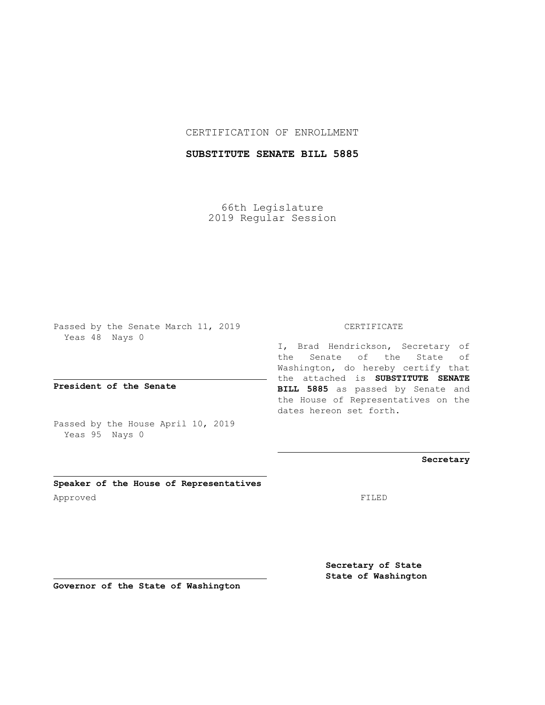## CERTIFICATION OF ENROLLMENT

# **SUBSTITUTE SENATE BILL 5885**

66th Legislature 2019 Regular Session

Passed by the Senate March 11, 2019 Yeas 48 Nays 0

**President of the Senate**

Passed by the House April 10, 2019 Yeas 95 Nays 0

**Speaker of the House of Representatives** Approved FILED

#### CERTIFICATE

I, Brad Hendrickson, Secretary of the Senate of the State of Washington, do hereby certify that the attached is **SUBSTITUTE SENATE BILL 5885** as passed by Senate and the House of Representatives on the dates hereon set forth.

## **Secretary**

**Secretary of State State of Washington**

**Governor of the State of Washington**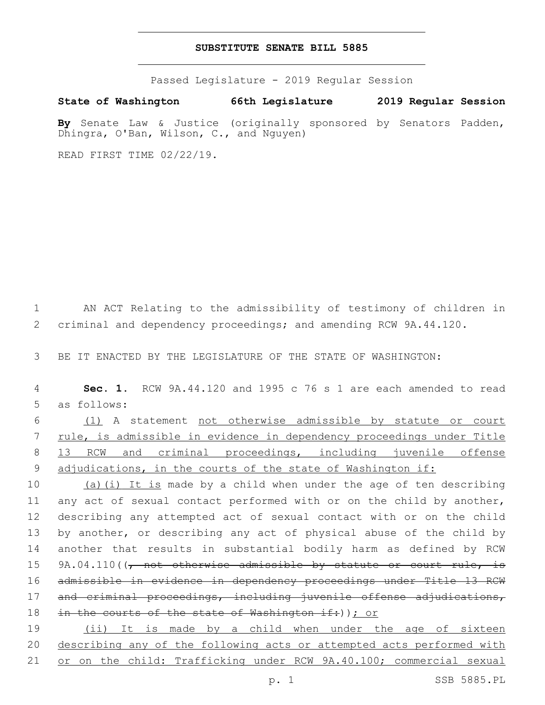## **SUBSTITUTE SENATE BILL 5885**

Passed Legislature - 2019 Regular Session

**State of Washington 66th Legislature 2019 Regular Session By** Senate Law & Justice (originally sponsored by Senators Padden,

READ FIRST TIME 02/22/19.

Dhingra, O'Ban, Wilson, C., and Nguyen)

1 AN ACT Relating to the admissibility of testimony of children in 2 criminal and dependency proceedings; and amending RCW 9A.44.120.

3 BE IT ENACTED BY THE LEGISLATURE OF THE STATE OF WASHINGTON:

4 **Sec. 1.** RCW 9A.44.120 and 1995 c 76 s 1 are each amended to read 5 as follows:

 (1) A statement not otherwise admissible by statute or court rule, is admissible in evidence in dependency proceedings under Title 13 RCW and criminal proceedings, including juvenile offense 9 adjudications, in the courts of the state of Washington if:

10 (a)(i) It is made by a child when under the age of ten describing 11 any act of sexual contact performed with or on the child by another, 12 describing any attempted act of sexual contact with or on the child 13 by another, or describing any act of physical abuse of the child by 14 another that results in substantial bodily harm as defined by RCW 15 9A.04.110((, not otherwise admissible by statute or court rule, is 16 admissible in evidence in dependency proceedings under Title 13 RCW 17 and criminal proceedings, including juvenile offense adjudications, 18 in the courts of the state of Washington if: ) ) ; or

19 (ii) It is made by a child when under the age of sixteen 20 describing any of the following acts or attempted acts performed with 21 or on the child: Trafficking under RCW 9A.40.100; commercial sexual